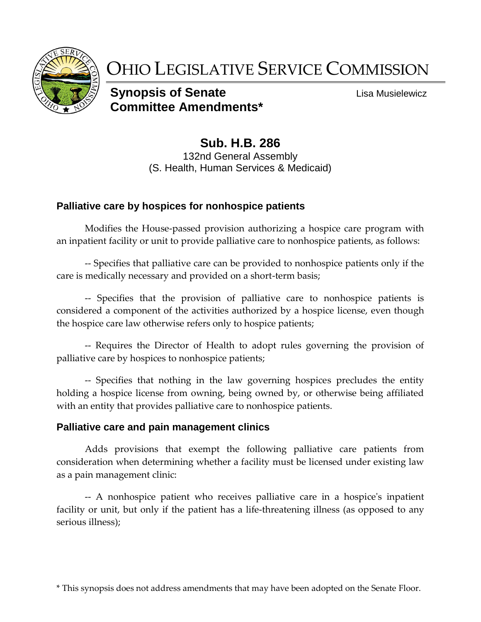

# OHIO LEGISLATIVE SERVICE COMMISSION

# **Synopsis of Senate Lisa Musielewicz Committee Amendments\***

**Sub. H.B. 286** 132nd General Assembly (S. Health, Human Services & Medicaid)

### **Palliative care by hospices for nonhospice patients**

Modifies the House-passed provision authorizing a hospice care program with an inpatient facility or unit to provide palliative care to nonhospice patients, as follows:

-- Specifies that palliative care can be provided to nonhospice patients only if the care is medically necessary and provided on a short-term basis;

-- Specifies that the provision of palliative care to nonhospice patients is considered a component of the activities authorized by a hospice license, even though the hospice care law otherwise refers only to hospice patients;

-- Requires the Director of Health to adopt rules governing the provision of palliative care by hospices to nonhospice patients;

-- Specifies that nothing in the law governing hospices precludes the entity holding a hospice license from owning, being owned by, or otherwise being affiliated with an entity that provides palliative care to nonhospice patients.

#### **Palliative care and pain management clinics**

Adds provisions that exempt the following palliative care patients from consideration when determining whether a facility must be licensed under existing law as a pain management clinic:

-- A nonhospice patient who receives palliative care in a hospice's inpatient facility or unit, but only if the patient has a life-threatening illness (as opposed to any serious illness);

\* This synopsis does not address amendments that may have been adopted on the Senate Floor.